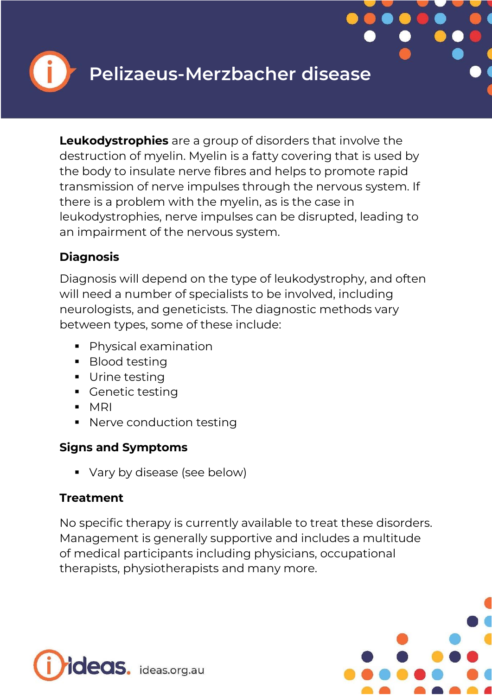

**Leukodystrophies** are a group of disorders that involve the destruction of myelin. Myelin is a fatty covering that is used by the body to insulate nerve fibres and helps to promote rapid transmission of nerve impulses through the nervous system. If there is a problem with the myelin, as is the case in leukodystrophies, nerve impulses can be disrupted, leading to an impairment of the nervous system.

### **Diagnosis**

Diagnosis will depend on the type of leukodystrophy, and often will need a number of specialists to be involved, including neurologists, and geneticists. The diagnostic methods vary between types, some of these include:

- **Physical examination**
- Blood testing
- **Urine testing**
- **Cenetic testing**
- $-MRI$
- **Nerve conduction testing**

### **Signs and Symptoms**

• Vary by disease (see below)

# **Treatment**

No specific therapy is currently available to treat these disorders. Management is generally supportive and includes a multitude of medical participants including physicians, occupational therapists, physiotherapists and many more.



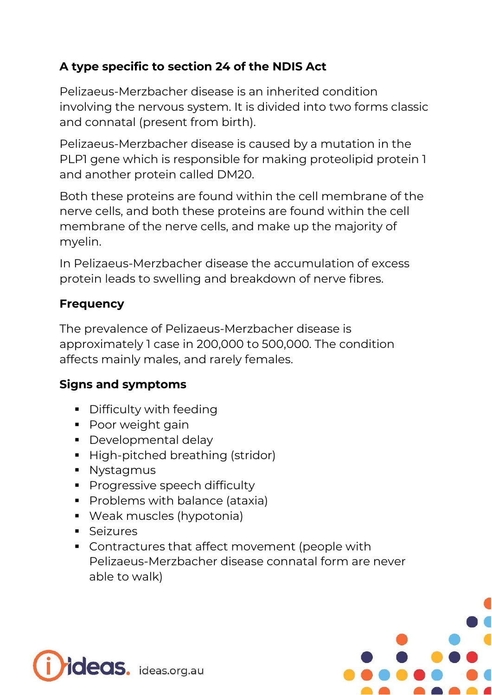# **A type specific to section 24 of the NDIS Act**

Pelizaeus-Merzbacher disease is an inherited condition involving the nervous system. It is divided into two forms classic and connatal (present from birth).

Pelizaeus-Merzbacher disease is caused by a mutation in the PLP1 gene which is responsible for making proteolipid protein 1 and another protein called DM20.

Both these proteins are found within the cell membrane of the nerve cells, and both these proteins are found within the cell membrane of the nerve cells, and make up the majority of myelin.

In Pelizaeus-Merzbacher disease the accumulation of excess protein leads to swelling and breakdown of nerve fibres.

### **Frequency**

The prevalence of Pelizaeus-Merzbacher disease is approximately 1 case in 200,000 to 500,000. The condition affects mainly males, and rarely females.

### **Signs and symptoms**

- **•** Difficulty with feeding
- **Poor weight gain**
- **Developmental delay**
- High-pitched breathing (stridor)
- **Nystagmus**
- **Progressive speech difficulty**
- **Problems with balance (ataxia)**
- Weak muscles (hypotonia)
- **Seizures**
- Contractures that affect movement (people with Pelizaeus-Merzbacher disease connatal form are never able to walk)